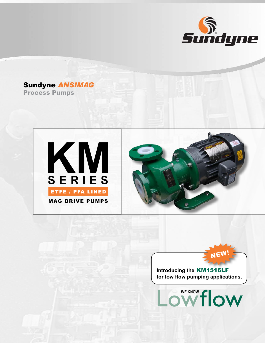

## Sundyne *ANSIMAG* Process Pumps





Lowflow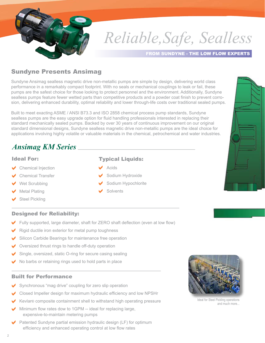

# *Reliable,Safe, Sealless*

#### FROM SUNDYNE - THE LOW FLOW EXPERTS

### Sundyne Presents Ansimag

Sundyne Ansimag sealless magnetic drive non-metallic pumps are simple by design, delivering world class performance in a remarkably compact footprint. With no seals or mechanical couplings to leak or fail, these pumps are the safest choice for those looking to protect personnel and the environment. Additionally, Sundyne sealless pumps feature fewer wetted parts than competitive products and a powder coat finish to prevent corrosion, delivering enhanced durability, optimal reliability and lower through-life costs over traditional sealed pumps.

Built to meet exacting ASME / ANSI B73.3 and ISO 2858 chemical process pump standards, Sundyne sealless pumps are the easy upgrade option for fluid handling professionals interested in replacing their standard mechanically sealed pumps. Backed by over 30 years of continuous improvement on our original standard dimensional designs, Sundyne sealless magnetic drive non-metallic pumps are the ideal choice for applications involving highly volatile or valuable materials in the chemical, petrochemical and water industries.

# *Ansimag KM Series*

#### Ideal For:

- Chemical Injection
- Chemical Transfer
- Wet Scrubbing
- Metal Plating
- Steel Pickling
- Typical Liquids:
- Acids
- Sodium Hydroxide
- Sodium Hypochlorite
- **Solvents**

#### Designed for Reliability:

- Fully supported, large diameter, shaft for ZERO shaft deflection (even at low flow)
- Rigid ductile iron exterior for metal pump toughness
- Silicon Carbide Bearings for maintenance free operation
- Oversized thrust rings to handle off-duty operation
- Single, oversized, static O-ring for secure casing sealing
- No barbs or retaining rings used to hold parts in place

#### Built for Performance

- Synchronous "mag drive" coupling for zero slip operation
- Closed Impeller design for maximum hydraulic efficiency and low NPSHr
- Kevlar® composite containment shell to withstand high operating pressure
- Minimum flow rates dow to 1GPM -- ideal for replacing large, expensive-to-maintain metering pumps
- Patented Sundyne partial emission hydraulic design (LF) for optimum efficiency and enhanced operating control at low flow rates



Ideal for Steel Pickling operations and much more...

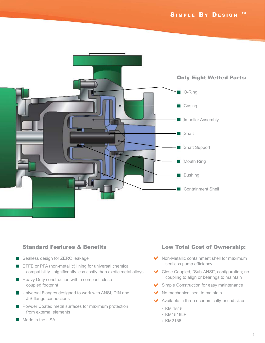

#### Standard Features & Benefits

- Sealless design for ZERO leakage
- ETFE or PFA (non-metallic) lining for universal chemical П compatibility - significantly less costly than exotic metal alloys
- $\blacksquare$  Heavy Duty construction with a compact, close coupled footprint
- **Universal Flanges designed to work with ANSI, DIN and** JIS flange connections
- Powder Coated metal surfaces for maximum protection from external elements
- Made in the USA

#### Low Total Cost of Ownership:

- ◆ Non-Metallic containment shell for maximum sealless pump efficiency
- Close Coupled, "Sub-ANSI", configuration; no a coupling to align or bearings to maintain
- Simple Construction for easy maintenance a
- No mechanical seal to maintain a
- Available in three economically-priced sizes: a
	- KM 1515
	- KM1516LF
	- KM2156